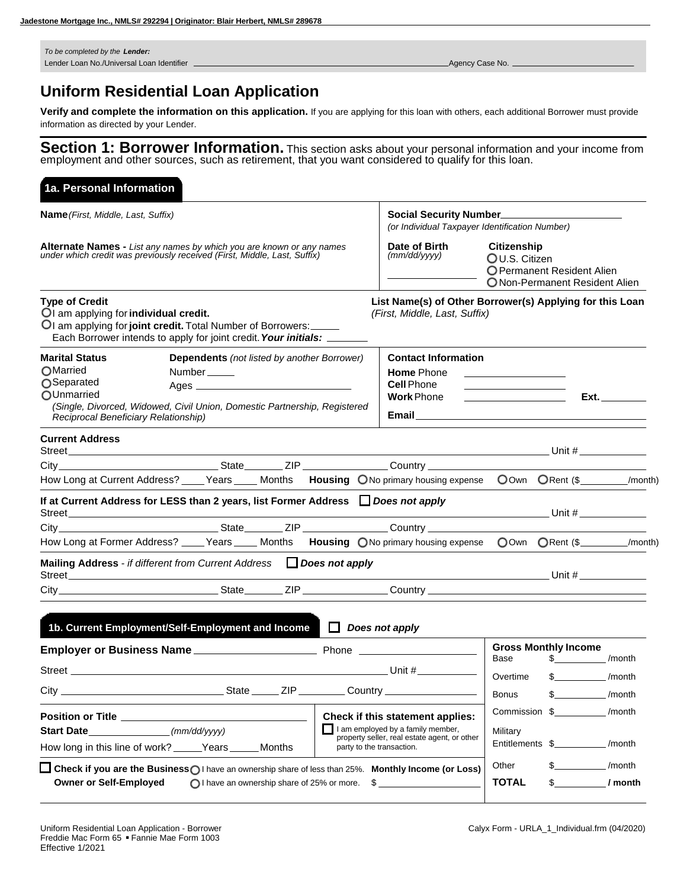*To be completed by the Lender:* Lender Loan No./Universal Loan Identifier **Agency Case No.** Agency Case No.

**#ADV**

# **Uniform Residential Loan Application**

**Verify and complete the information on this application.** If you are applying for this loan with others, each additional Borrower must provide information as directed by your Lender.

**Section 1: Borrower Information.** This section asks about your personal information and your income from employment and other sources, such as retirement, that you want considered to qualify for this loan.

| 1a. Personal Information                                                                                                                                                                         |              |                          |         |                                                    |                                                                                 |                                                                                                                                                    |                                                                                                                                                                                                                                                                                                   |                                 |                       |
|--------------------------------------------------------------------------------------------------------------------------------------------------------------------------------------------------|--------------|--------------------------|---------|----------------------------------------------------|---------------------------------------------------------------------------------|----------------------------------------------------------------------------------------------------------------------------------------------------|---------------------------------------------------------------------------------------------------------------------------------------------------------------------------------------------------------------------------------------------------------------------------------------------------|---------------------------------|-----------------------|
| <b>Name</b> (First, Middle, Last, Suffix)<br>Alternate Names - List any names by which you are known or any names<br>under which credit was previously received (First, Middle, Last, Suffix)    |              |                          |         |                                                    |                                                                                 | Social Security Number                                                                                                                             |                                                                                                                                                                                                                                                                                                   |                                 |                       |
|                                                                                                                                                                                                  |              |                          |         |                                                    | (or Individual Taxpayer Identification Number)<br>Date of Birth<br>(mm/dd/yyyy) |                                                                                                                                                    | <b>Citizenship</b><br>OU.S. Citizen<br>O Permanent Resident Alien<br>O Non-Permanent Resident Alien                                                                                                                                                                                               |                                 |                       |
| <b>Type of Credit</b><br>OI am applying for individual credit.<br>OI am applying for joint credit. Total Number of Borrowers:<br>Each Borrower intends to apply for joint credit. Your initials: |              |                          |         |                                                    |                                                                                 | List Name(s) of Other Borrower(s) Applying for this Loan<br>(First, Middle, Last, Suffix)                                                          |                                                                                                                                                                                                                                                                                                   |                                 |                       |
| <b>Marital Status</b><br>OMarried<br>○Separated<br>OUnmarried<br>(Single, Divorced, Widowed, Civil Union, Domestic Partnership, Registered<br>Reciprocal Beneficiary Relationship)               |              | Number <sub>______</sub> |         | <b>Dependents</b> (not listed by another Borrower) |                                                                                 | <b>Contact Information</b><br><b>Home</b> Phone<br><b>Cell Phone</b><br><b>Work Phone</b><br>Email <b>Example 2018</b>                             | <u> Alexandria de la contrada de la contrada de la contrada de la contrada de la contrada de la contrada de la c</u><br>the control of the control of the control of<br><u> Alexandria (Carlo Carlo Carlo Carlo Carlo Carlo Carlo Carlo Carlo Carlo Carlo Carlo Carlo Carlo Carlo Carlo Carlo</u> |                                 | Ext.                  |
| <b>Current Address</b>                                                                                                                                                                           |              |                          |         |                                                    |                                                                                 |                                                                                                                                                    |                                                                                                                                                                                                                                                                                                   |                                 |                       |
|                                                                                                                                                                                                  |              |                          |         |                                                    |                                                                                 |                                                                                                                                                    |                                                                                                                                                                                                                                                                                                   |                                 |                       |
|                                                                                                                                                                                                  |              |                          |         |                                                    |                                                                                 | How Long at Current Address? ____ Years ____ Months Housing ONo primary housing expense OOwn ORent (\$_______/month)                               |                                                                                                                                                                                                                                                                                                   |                                 |                       |
| If at Current Address for LESS than 2 years, list Former Address $\Box$ Does not apply                                                                                                           |              |                          |         |                                                    |                                                                                 |                                                                                                                                                    |                                                                                                                                                                                                                                                                                                   |                                 |                       |
|                                                                                                                                                                                                  |              |                          |         |                                                    |                                                                                 |                                                                                                                                                    |                                                                                                                                                                                                                                                                                                   |                                 |                       |
|                                                                                                                                                                                                  |              |                          |         |                                                    |                                                                                 | How Long at Former Address? ____ Years ____ Months Housing ONo primary housing expense OOwn ORent (\$ _______/month)                               |                                                                                                                                                                                                                                                                                                   |                                 |                       |
| Mailing Address - if different from Current Address   Does not apply                                                                                                                             |              |                          |         |                                                    |                                                                                 |                                                                                                                                                    |                                                                                                                                                                                                                                                                                                   |                                 |                       |
|                                                                                                                                                                                                  |              |                          |         |                                                    |                                                                                 |                                                                                                                                                    |                                                                                                                                                                                                                                                                                                   |                                 |                       |
| 1b. Current Employment/Self-Employment and Income Does not apply                                                                                                                                 |              |                          |         |                                                    |                                                                                 |                                                                                                                                                    |                                                                                                                                                                                                                                                                                                   |                                 |                       |
|                                                                                                                                                                                                  |              |                          |         |                                                    |                                                                                 |                                                                                                                                                    |                                                                                                                                                                                                                                                                                                   | <b>Gross Monthly Income</b>     |                       |
|                                                                                                                                                                                                  |              |                          |         |                                                    |                                                                                 |                                                                                                                                                    | Base                                                                                                                                                                                                                                                                                              |                                 | $\frac{1}{2}$ /month  |
|                                                                                                                                                                                                  |              |                          |         |                                                    |                                                                                 |                                                                                                                                                    | Overtime<br>Bonus                                                                                                                                                                                                                                                                                 | $\frac{1}{2}$                   | /month<br>\$ /month   |
|                                                                                                                                                                                                  |              |                          |         |                                                    |                                                                                 |                                                                                                                                                    |                                                                                                                                                                                                                                                                                                   | Commission \$____________/month |                       |
| <b>Start Date</b><br>How long in this line of work? _____Years _____                                                                                                                             | (mm/dd/yyyy) |                          | Months_ |                                                    |                                                                                 | Check if this statement applies:<br>I am employed by a family member,<br>property seller, real estate agent, or other<br>party to the transaction. | Military                                                                                                                                                                                                                                                                                          | Entitlements \$                 | /month                |
|                                                                                                                                                                                                  |              |                          |         |                                                    |                                                                                 | □ Check if you are the Business ○ I have an ownership share of less than 25%. Monthly Income (or Loss)                                             | Other                                                                                                                                                                                                                                                                                             | $\sim$                          | /month                |
| <b>Owner or Self-Employed</b>                                                                                                                                                                    |              |                          |         |                                                    |                                                                                 | ◯ I have an ownership share of 25% or more. \$                                                                                                     | <b>TOTAL</b>                                                                                                                                                                                                                                                                                      |                                 | $\frac{1}{2}$ / month |
|                                                                                                                                                                                                  |              |                          |         |                                                    |                                                                                 |                                                                                                                                                    |                                                                                                                                                                                                                                                                                                   |                                 |                       |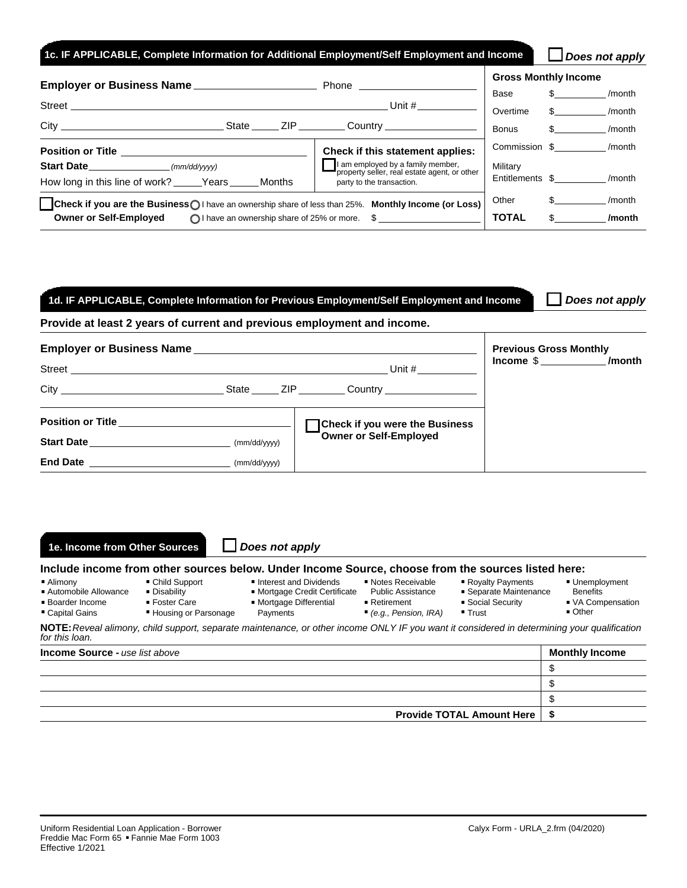## **1c. IF APPLICABLE, Complete Information for Additional Employment/Self Employment and Income** *Does not apply*

|                                                                                                        |                                                                           | <b>Gross Monthly Income</b> |                        |        |
|--------------------------------------------------------------------------------------------------------|---------------------------------------------------------------------------|-----------------------------|------------------------|--------|
|                                                                                                        |                                                                           | Base                        | $\mathbb{S}$           | /month |
| Street $\_$                                                                                            | Unit $\#$                                                                 | Overtime                    | $\mathbb{S}$           | /month |
| City Current City Country Country Country Country                                                      |                                                                           | <b>Bonus</b>                | $\mathbb{S}$           | /month |
|                                                                                                        | Check if this statement applies:                                          |                             | Commission \$ /month   |        |
|                                                                                                        | I am employed by a family member,                                         | Military                    |                        |        |
| How long in this line of work? _____Years _____Months                                                  | property seller, real estate agent, or other<br>party to the transaction. |                             | Entitlements \$ /month |        |
| □ Check if you are the Business O I have an ownership share of less than 25%. Monthly Income (or Loss) | Other                                                                     |                             | /month                 |        |
| <b>Owner or Self-Employed</b>                                                                          | ◯ I have an ownership share of 25% or more. \$                            | <b>TOTAL</b>                | $\mathbb{S}$           | /month |

# **1d. IF APPLICABLE, Complete Information for Previous Employment/Self Employment and Income** *Does not apply*

**Provide at least 2 years of current and previous employment and income.**

|                                            |              |                                       | <b>Previous Gross Monthly</b> |
|--------------------------------------------|--------------|---------------------------------------|-------------------------------|
| Street                                     |              | Unit $#$                              | Income \$ /month              |
|                                            |              |                                       |                               |
| Position or Title ________________________ |              | <b>Check if you were the Business</b> |                               |
|                                            | (mm/dd/yyyy) | <b>Owner or Self-Employed</b>         |                               |
| End Date __________________________        | (mm/dd/yyyy) |                                       |                               |

**1e. Income from Other Sources** *Does not apply*

Payments

#### **Include income from other sources below. Under Income Source, choose from the sources listed here: W. UNder Income**<br>Interest and Dividends **Irce, cnoose f**<br>■ Notes Receivable **ere:**<br>■ Unemployment

**.** Alimony ■ Alimony<br>■ Automobile Allowance **.**

**Boarder Income**<br> **Capital Gains** 

■ Capital Gains

**. .** Child Support **. Disability** 

**Foster Care**<br>**• Housing or I** 

■ Housing or Parsonage

- 
- **Interest and Dividends**<br>International Credit Certificate **• Mortgage Credit Cert**<br>• Mortgage Differential
	- -
- 
- **Benefits**
- **.**
- Other

**NOTE:** *Reveal alimony, child support, separate maintenance, or other income ONLY IF you want it considered in determining your qualification for this loan.*

| <b>Income Source - use list above</b> | <b>Monthly Income</b> |
|---------------------------------------|-----------------------|
|                                       |                       |
|                                       |                       |
|                                       |                       |
| <b>Provide TOTAL Amount Here   \$</b> |                       |
|                                       |                       |

- **.** *(e.g., Pension, IRA)*
- **E** Social Security ■ Trust
- 
- -
- **.**
- Royalty Payments<br>■ Separate Maintenance
	- -
- - - -
- **.** VA Compensation
- **the SOUrceS II:**<br>■ Royalty Payments
- Public Assistance
- **.** Retirement
	- -
- - -
	-
	-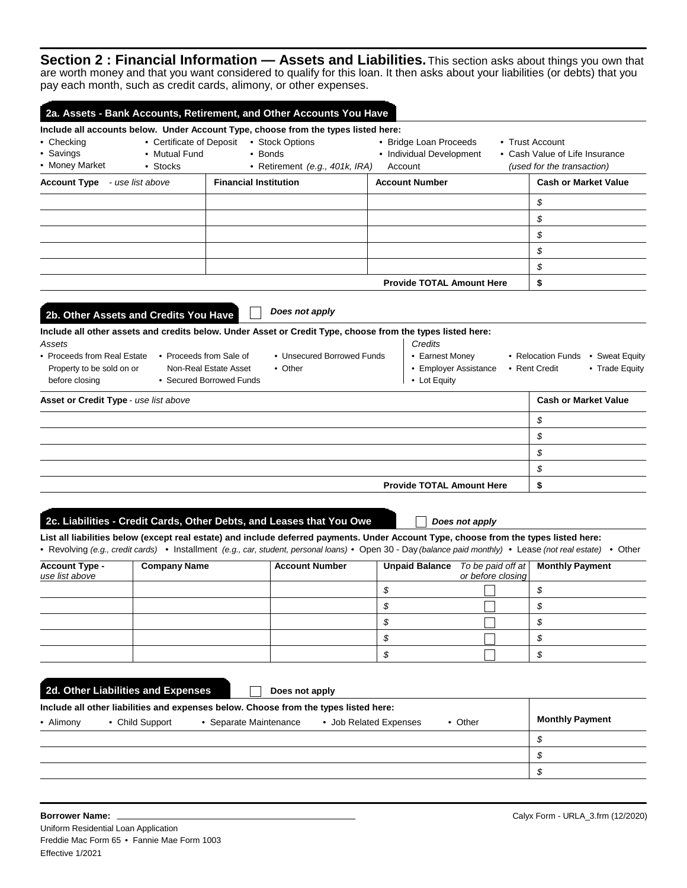**Section 2 : Financial Information — Assets and Liabilities.** This section asks about things you own that are worth money and that you want considered to qualify for this loan. It then asks about your liabilities (or debts) that you pay each month, such as credit cards, alimony, or other expenses.

|                                                                                             |                                                       | 2a. Assets - Bank Accounts, Retirement, and Other Accounts You Have                                                                                                                                                                                                                                                                                                           |                                       |                                                                                                                                       |                                                                |  |
|---------------------------------------------------------------------------------------------|-------------------------------------------------------|-------------------------------------------------------------------------------------------------------------------------------------------------------------------------------------------------------------------------------------------------------------------------------------------------------------------------------------------------------------------------------|---------------------------------------|---------------------------------------------------------------------------------------------------------------------------------------|----------------------------------------------------------------|--|
| • Checking<br>• Savings<br>• Money Market                                                   | • Certificate of Deposit<br>• Mutual Fund<br>• Stocks | Include all accounts below. Under Account Type, choose from the types listed here:<br>• Stock Options<br>• Bonds<br>• Retirement (e.g., 401k, IRA)                                                                                                                                                                                                                            | Account                               | • Bridge Loan Proceeds<br>• Trust Account<br>• Individual Development<br>• Cash Value of Life Insurance<br>(used for the transaction) |                                                                |  |
| <b>Account Type</b> - use list above                                                        |                                                       | <b>Financial Institution</b>                                                                                                                                                                                                                                                                                                                                                  | <b>Account Number</b>                 |                                                                                                                                       | <b>Cash or Market Value</b>                                    |  |
|                                                                                             |                                                       |                                                                                                                                                                                                                                                                                                                                                                               |                                       |                                                                                                                                       | \$                                                             |  |
|                                                                                             |                                                       |                                                                                                                                                                                                                                                                                                                                                                               |                                       |                                                                                                                                       | \$                                                             |  |
|                                                                                             |                                                       |                                                                                                                                                                                                                                                                                                                                                                               |                                       |                                                                                                                                       | \$                                                             |  |
|                                                                                             |                                                       |                                                                                                                                                                                                                                                                                                                                                                               |                                       |                                                                                                                                       | \$                                                             |  |
|                                                                                             |                                                       |                                                                                                                                                                                                                                                                                                                                                                               |                                       |                                                                                                                                       | \$                                                             |  |
|                                                                                             |                                                       |                                                                                                                                                                                                                                                                                                                                                                               | <b>Provide TOTAL Amount Here</b>      |                                                                                                                                       | \$                                                             |  |
| Property to be sold on or<br>before closing<br><b>Asset or Credit Type - use list above</b> |                                                       | Non-Real Estate Asset<br>• Other<br>• Secured Borrowed Funds                                                                                                                                                                                                                                                                                                                  | • Employer Assistance<br>• Lot Equity |                                                                                                                                       | • Rent Credit<br>• Trade Equity<br><b>Cash or Market Value</b> |  |
|                                                                                             |                                                       |                                                                                                                                                                                                                                                                                                                                                                               |                                       |                                                                                                                                       |                                                                |  |
|                                                                                             |                                                       |                                                                                                                                                                                                                                                                                                                                                                               |                                       |                                                                                                                                       | \$                                                             |  |
|                                                                                             |                                                       |                                                                                                                                                                                                                                                                                                                                                                               |                                       |                                                                                                                                       | \$                                                             |  |
|                                                                                             |                                                       |                                                                                                                                                                                                                                                                                                                                                                               |                                       |                                                                                                                                       | \$                                                             |  |
|                                                                                             |                                                       |                                                                                                                                                                                                                                                                                                                                                                               |                                       |                                                                                                                                       | \$                                                             |  |
|                                                                                             |                                                       |                                                                                                                                                                                                                                                                                                                                                                               | <b>Provide TOTAL Amount Here</b>      |                                                                                                                                       | \$                                                             |  |
|                                                                                             |                                                       | 2c. Liabilities - Credit Cards, Other Debts, and Leases that You Owe<br>List all liabilities below (except real estate) and include deferred payments. Under Account Type, choose from the types listed here:<br>• Revolving (e.g., credit cards) • Installment (e.g., car, student, personal loans) • Open 30 - Day (balance paid monthly) • Lease (not real estate) • Other | Does not apply                        |                                                                                                                                       |                                                                |  |
| <b>Account Type -</b><br>use list above                                                     | <b>Company Name</b>                                   | <b>Account Number</b>                                                                                                                                                                                                                                                                                                                                                         | <b>Unpaid Balance</b>                 | To be paid off at<br>or before closing                                                                                                | <b>Monthly Payment</b>                                         |  |
|                                                                                             |                                                       |                                                                                                                                                                                                                                                                                                                                                                               | \$                                    |                                                                                                                                       | \$                                                             |  |
|                                                                                             |                                                       |                                                                                                                                                                                                                                                                                                                                                                               | \$                                    |                                                                                                                                       | \$                                                             |  |
|                                                                                             |                                                       |                                                                                                                                                                                                                                                                                                                                                                               | \$                                    |                                                                                                                                       | \$                                                             |  |
|                                                                                             |                                                       |                                                                                                                                                                                                                                                                                                                                                                               | \$                                    |                                                                                                                                       | \$                                                             |  |
|                                                                                             |                                                       |                                                                                                                                                                                                                                                                                                                                                                               | \$                                    |                                                                                                                                       | \$                                                             |  |

2d. Other Liabilities and Expenses **Does not apply** 

| Include all other liabilities and expenses below. Choose from the types listed here: |                 |                        |                        |         |                        |
|--------------------------------------------------------------------------------------|-----------------|------------------------|------------------------|---------|------------------------|
| • Alimony                                                                            | • Child Support | • Separate Maintenance | • Job Related Expenses | • Other | <b>Monthly Payment</b> |
|                                                                                      |                 |                        |                        |         |                        |
|                                                                                      |                 |                        |                        |         |                        |
|                                                                                      |                 |                        |                        |         | S                      |

**Borrower Name:**

Uniform Residential Loan Application Freddie Mac Form 65 • Fannie Mae Form 1003 Effective 1/2021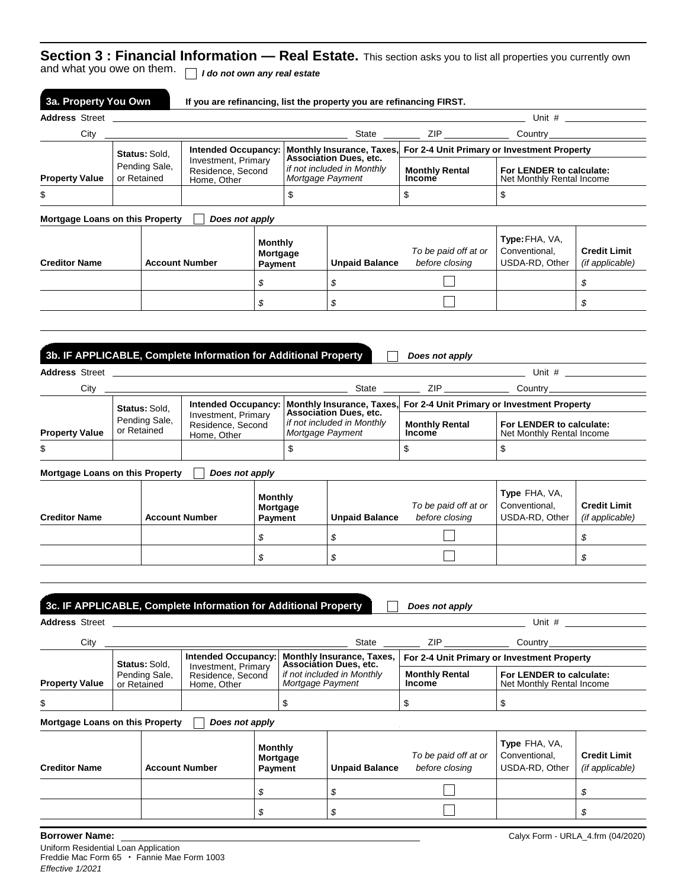# **Section 3 : Financial Information — Real Estate.** This section asks you to list all properties you currently own and what you owe on them. *I do not own any real estate*

| 3a. Property You Own                                                                   |                                               | If you are refinancing, list the property you are refinancing FIRST.                                                  |                                              |                                                                                                 |                                                      |                                                                                                                                                                                                                                                                               |                                                          |                                        |  |
|----------------------------------------------------------------------------------------|-----------------------------------------------|-----------------------------------------------------------------------------------------------------------------------|----------------------------------------------|-------------------------------------------------------------------------------------------------|------------------------------------------------------|-------------------------------------------------------------------------------------------------------------------------------------------------------------------------------------------------------------------------------------------------------------------------------|----------------------------------------------------------|----------------------------------------|--|
|                                                                                        |                                               | Address Street <b>Executes Address Street</b>                                                                         |                                              |                                                                                                 |                                                      |                                                                                                                                                                                                                                                                               |                                                          |                                        |  |
|                                                                                        | $City \t$                                     |                                                                                                                       |                                              |                                                                                                 |                                                      | State <u>Country Country</u>                                                                                                                                                                                                                                                  |                                                          |                                        |  |
|                                                                                        | <b>Intended Occupancy:</b><br>Status: Sold.   |                                                                                                                       |                                              | Monthly Insurance, Taxes, For 2-4 Unit Primary or Investment Property<br>Associátion Dues, etc. |                                                      |                                                                                                                                                                                                                                                                               |                                                          |                                        |  |
| <b>Property Value</b>                                                                  | Pending Sale,<br>or Retained                  | Investment, Primary<br>Residence, Second<br>Home, Other                                                               |                                              | Mortgage Payment                                                                                | if not included in Monthly                           | <b>Monthly Rental</b><br><b>Income</b>                                                                                                                                                                                                                                        | For LENDER to calculate:<br>Net Monthly Rental Income    |                                        |  |
| \$                                                                                     |                                               |                                                                                                                       |                                              | \$                                                                                              |                                                      | \$                                                                                                                                                                                                                                                                            | \$                                                       |                                        |  |
| Mortgage Loans on this Property                                                        |                                               | Does not apply                                                                                                        |                                              |                                                                                                 |                                                      |                                                                                                                                                                                                                                                                               |                                                          |                                        |  |
|                                                                                        |                                               |                                                                                                                       |                                              |                                                                                                 |                                                      |                                                                                                                                                                                                                                                                               |                                                          |                                        |  |
| <b>Creditor Name</b>                                                                   |                                               | <b>Account Number</b>                                                                                                 | <b>Monthly</b><br>Mortgage<br><b>Payment</b> |                                                                                                 | <b>Unpaid Balance</b>                                | To be paid off at or<br>before closing                                                                                                                                                                                                                                        | <b>Type: FHA, VA,</b><br>Conventional,<br>USDA-RD, Other | <b>Credit Limit</b><br>(if applicable) |  |
|                                                                                        |                                               |                                                                                                                       | \$                                           |                                                                                                 | \$                                                   |                                                                                                                                                                                                                                                                               |                                                          | \$                                     |  |
|                                                                                        |                                               |                                                                                                                       | \$                                           |                                                                                                 | \$                                                   |                                                                                                                                                                                                                                                                               |                                                          | \$                                     |  |
|                                                                                        |                                               |                                                                                                                       |                                              |                                                                                                 |                                                      |                                                                                                                                                                                                                                                                               |                                                          |                                        |  |
|                                                                                        |                                               |                                                                                                                       |                                              |                                                                                                 |                                                      |                                                                                                                                                                                                                                                                               |                                                          |                                        |  |
|                                                                                        |                                               | 3b. IF APPLICABLE, Complete Information for Additional Property                                                       |                                              |                                                                                                 |                                                      | Does not apply                                                                                                                                                                                                                                                                |                                                          |                                        |  |
|                                                                                        |                                               | Address Street <b>Address Address And Address Address Address</b> Address Address Address Address Address Address Add |                                              |                                                                                                 |                                                      | <b>Example 2008</b> Unit # 2008 Unit # 2008 Unit # 2008 Unit # 2008 Unit # 2008 Unit # 2008 Unit # 2008 U                                                                                                                                                                     |                                                          |                                        |  |
| $City$ <sub>-</sub>                                                                    |                                               |                                                                                                                       |                                              |                                                                                                 |                                                      |                                                                                                                                                                                                                                                                               |                                                          |                                        |  |
|                                                                                        | Status: Sold.                                 | <b>Intended Occupancy:</b>                                                                                            |                                              |                                                                                                 | Monthly Insurance, Taxes,<br>Associátion Dues, etc.  | For 2-4 Unit Primary or Investment Property                                                                                                                                                                                                                                   |                                                          |                                        |  |
| <b>Property Value</b>                                                                  | Pending Sale,<br>or Retained                  | Investment, Primary<br>Residence, Second<br>Home, Other                                                               |                                              | Mortgage Payment                                                                                | if not included in Monthly                           | <b>Monthly Rental</b><br><b>Income</b>                                                                                                                                                                                                                                        | For LENDER to calculate:<br>Net Monthly Rental Income    |                                        |  |
| \$                                                                                     |                                               |                                                                                                                       |                                              | \$                                                                                              | \$                                                   |                                                                                                                                                                                                                                                                               | \$                                                       |                                        |  |
| Mortgage Loans on this Property                                                        |                                               | Does not apply                                                                                                        |                                              |                                                                                                 |                                                      |                                                                                                                                                                                                                                                                               |                                                          |                                        |  |
|                                                                                        |                                               |                                                                                                                       |                                              |                                                                                                 |                                                      |                                                                                                                                                                                                                                                                               |                                                          |                                        |  |
| <b>Creditor Name</b>                                                                   |                                               | <b>Account Number</b>                                                                                                 | Monthly<br>Mortgage<br><b>Payment</b>        |                                                                                                 | <b>Unpaid Balance</b>                                | To be paid off at or<br>before closing                                                                                                                                                                                                                                        | Type FHA, VA,<br>Conventional,<br>USDA-RD, Other         | <b>Credit Limit</b><br>(if applicable) |  |
|                                                                                        |                                               |                                                                                                                       | \$                                           |                                                                                                 | \$                                                   |                                                                                                                                                                                                                                                                               |                                                          | \$                                     |  |
|                                                                                        |                                               |                                                                                                                       |                                              |                                                                                                 |                                                      |                                                                                                                                                                                                                                                                               |                                                          |                                        |  |
|                                                                                        |                                               |                                                                                                                       |                                              |                                                                                                 |                                                      |                                                                                                                                                                                                                                                                               |                                                          |                                        |  |
|                                                                                        |                                               |                                                                                                                       | \$                                           |                                                                                                 | \$                                                   |                                                                                                                                                                                                                                                                               |                                                          | \$                                     |  |
|                                                                                        |                                               |                                                                                                                       |                                              |                                                                                                 |                                                      |                                                                                                                                                                                                                                                                               |                                                          |                                        |  |
|                                                                                        |                                               |                                                                                                                       |                                              |                                                                                                 |                                                      | Does not apply                                                                                                                                                                                                                                                                |                                                          |                                        |  |
|                                                                                        |                                               | 3c. IF APPLICABLE, Complete Information for Additional Property<br>Address Street <b>Address Street</b>               |                                              |                                                                                                 |                                                      |                                                                                                                                                                                                                                                                               |                                                          | Unit $#$                               |  |
|                                                                                        |                                               |                                                                                                                       |                                              |                                                                                                 |                                                      |                                                                                                                                                                                                                                                                               |                                                          |                                        |  |
| City                                                                                   |                                               | <b>Intended Occupancy:</b>                                                                                            |                                              |                                                                                                 | State<br>Monthly Insurance, Taxes,                   | ZIP and the contract of the contract of the contract of the contract of the contract of the contract of the contract of the contract of the contract of the contract of the contract of the contract of the contract of the co<br>For 2-4 Unit Primary or Investment Property |                                                          |                                        |  |
|                                                                                        | Status: Sold.<br>Pending Sale,<br>or Retained | Investment, Primary<br>Residence, Second<br>Home, Other                                                               |                                              | Mortgage Payment                                                                                | Associátion Dues, etc.<br>if not included in Monthly | <b>Monthly Rental</b><br>Income                                                                                                                                                                                                                                               | For LENDER to calculate:<br>Net Monthly Rental Income    |                                        |  |
|                                                                                        |                                               |                                                                                                                       |                                              | \$                                                                                              |                                                      | \$                                                                                                                                                                                                                                                                            |                                                          |                                        |  |
|                                                                                        |                                               |                                                                                                                       |                                              |                                                                                                 |                                                      |                                                                                                                                                                                                                                                                               | \$                                                       |                                        |  |
|                                                                                        |                                               | Does not apply<br><b>Account Number</b>                                                                               | Monthly<br>Mortgage<br>Payment               |                                                                                                 | <b>Unpaid Balance</b>                                | To be paid off at or<br>before closing                                                                                                                                                                                                                                        | Type FHA, VA,<br>Conventional,<br>USDA-RD, Other         | <b>Credit Limit</b><br>(if applicable) |  |
|                                                                                        |                                               |                                                                                                                       |                                              |                                                                                                 |                                                      |                                                                                                                                                                                                                                                                               |                                                          |                                        |  |
| <b>Property Value</b><br>\$<br>Mortgage Loans on this Property<br><b>Creditor Name</b> |                                               |                                                                                                                       | \$<br>\$                                     |                                                                                                 | \$<br>\$                                             |                                                                                                                                                                                                                                                                               |                                                          | \$<br>\$                               |  |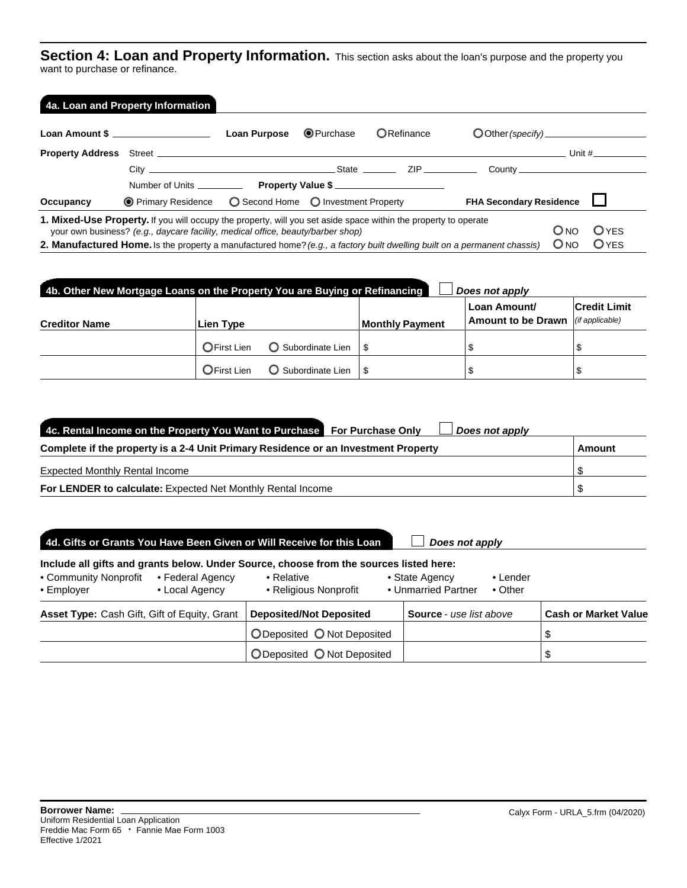**Section 4: Loan and Property Information.** This section asks about the loan's purpose and the property you want to purchase or refinance.

|                         | 4a. Loan and Property Information<br>Loan Amount \$                                                                                                                                                                                  | <b>Loan Purpose</b>                 | <b>O</b> Purchase | ORefinance | $\bigcirc$ Other (specify)     |        |
|-------------------------|--------------------------------------------------------------------------------------------------------------------------------------------------------------------------------------------------------------------------------------|-------------------------------------|-------------------|------------|--------------------------------|--------|
| <b>Property Address</b> | Street <b>Executive Contract Contract Contract Contract Contract Contract Contract Contract Contract Contract Contract Contract Contract Contract Contract Contract Contract Contract Contract Contract Contract Contract Contra</b> |                                     |                   |            |                                | Unit # |
|                         |                                                                                                                                                                                                                                      |                                     |                   |            |                                |        |
|                         | Number of Units _________                                                                                                                                                                                                            |                                     |                   |            |                                |        |
| Occupancy               | <b>O</b> Primary Residence                                                                                                                                                                                                           | ◯ Second Home ◯ Investment Property |                   |            | <b>FHA Secondary Residence</b> |        |

2. Manufactured Home. Is the property a manufactured home? *(e.g., a factory built dwelling built on a permanent chassis)* ONO OYES

| 4b. Other New Mortgage Loans on the Property You are Buying or Refinancing<br>Does not apply |                    |                                        |                        |                           |                       |  |  |
|----------------------------------------------------------------------------------------------|--------------------|----------------------------------------|------------------------|---------------------------|-----------------------|--|--|
|                                                                                              |                    |                                        |                        | Loan Amount/              | <b>Credit Limit</b>   |  |  |
| <b>Creditor Name</b>                                                                         | Lien Type          |                                        | <b>Monthly Payment</b> | <b>Amount to be Drawn</b> | $($ if applicable $)$ |  |  |
|                                                                                              | <b>OFirst Lien</b> | O Subordinate Lien                     |                        |                           |                       |  |  |
|                                                                                              | <b>OFirst Lien</b> | $\bigcirc$ Subordinate Lien $\vert$ \$ |                        |                           | S                     |  |  |

| 4c. Rental Income on the Property You Want to Purchase For Purchase Only<br>Does not apply   |  |  |  |  |  |
|----------------------------------------------------------------------------------------------|--|--|--|--|--|
| Complete if the property is a 2-4 Unit Primary Residence or an Investment Property<br>Amount |  |  |  |  |  |
| <b>Expected Monthly Rental Income</b>                                                        |  |  |  |  |  |
| <b>For LENDER to calculate:</b> Expected Net Monthly Rental Income                           |  |  |  |  |  |

### 4d. Gifts or Grants You Have Been Given or Will Receive for this Loan **Deget The Set of apply**

### **Include all gifts and grants below. Under Source, choose from the sources listed here:**

| • Community Nonprofit<br>$\bullet$ Employer  | mondo an qino and qranto bolow. Ondor oodroo, onooso n'om the sources nsited nero.<br>• Federal Agency<br>• Local Agency | • Relative<br>• Religious Nonprofit | • State Agency<br>• Unmarried Partner | • Lender<br>$\bullet$ Other |                             |
|----------------------------------------------|--------------------------------------------------------------------------------------------------------------------------|-------------------------------------|---------------------------------------|-----------------------------|-----------------------------|
| Asset Type: Cash Gift, Gift of Equity, Grant |                                                                                                                          | <b>Deposited/Not Deposited</b>      | <b>Source</b> - use list above        |                             | <b>Cash or Market Value</b> |
|                                              |                                                                                                                          | ODeposited O Not Deposited          |                                       |                             |                             |

ODeposited O Not Deposited

\$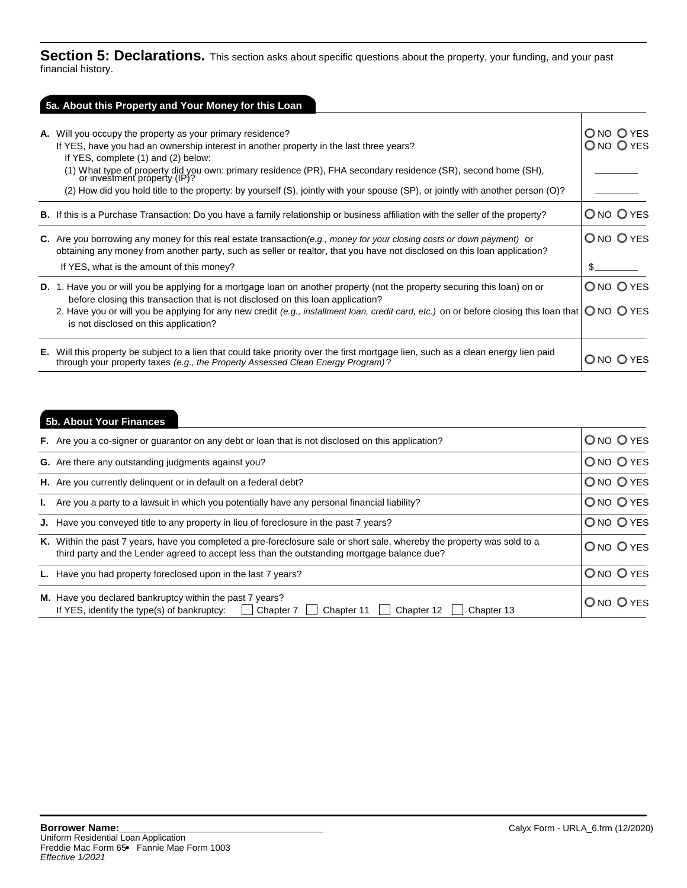**Section 5: Declarations.** This section asks about specific questions about the property, your funding, and your past financial history.

| 5a. About this Property and Your Money for this Loan                                                                                                                                                                                                |                      |            |
|-----------------------------------------------------------------------------------------------------------------------------------------------------------------------------------------------------------------------------------------------------|----------------------|------------|
| A. Will you occupy the property as your primary residence?<br>If YES, have you had an ownership interest in another property in the last three years?<br>If YES, complete (1) and (2) below:                                                        | ONO OYES<br>ONO OYES |            |
| (1) What type of property did you own: primary residence (PR), FHA secondary residence (SR), second home (SH), or investment property (IP)?                                                                                                         |                      |            |
| (2) How did you hold title to the property: by yourself (S), jointly with your spouse (SP), or jointly with another person (O)?                                                                                                                     |                      |            |
| B. If this is a Purchase Transaction: Do you have a family relationship or business affiliation with the seller of the property?                                                                                                                    | ONO OYES             |            |
| C. Are you borrowing any money for this real estate transaction (e.g., money for your closing costs or down payment) or<br>obtaining any money from another party, such as seller or realtor, that you have not disclosed on this loan application? | ONO OYES             |            |
| If YES, what is the amount of this money?                                                                                                                                                                                                           | S.                   |            |
| D. 1. Have you or will you be applying for a mortgage loan on another property (not the property securing this loan) on or<br>before closing this transaction that is not disclosed on this loan application?                                       | ONO OYES             |            |
| 2. Have you or will you be applying for any new credit (e.g., installment loan, credit card, etc.) on or before closing this loan that<br>is not disclosed on this application?                                                                     | ONO OYES             |            |
| E. Will this property be subject to a lien that could take priority over the first mortgage lien, such as a clean energy lien paid<br>through your property taxes (e.g., the Property Assessed Clean Energy Program)?                               | O NO O               | <b>YES</b> |

### **5b. About Your Finances**

| F. Are you a co-signer or guarantor on any debt or loan that is not disclosed on this application?                                                                                                                     | ONO OYES |
|------------------------------------------------------------------------------------------------------------------------------------------------------------------------------------------------------------------------|----------|
| <b>G.</b> Are there any outstanding judgments against you?                                                                                                                                                             | ONO OYES |
| H. Are you currently delinguent or in default on a federal debt?                                                                                                                                                       | ONO OYES |
| I. Are you a party to a lawsuit in which you potentially have any personal financial liability?                                                                                                                        | ONO OYES |
| <b>J.</b> Have you conveyed title to any property in lieu of foreclosure in the past 7 years?                                                                                                                          | ONO OYES |
| K. Within the past 7 years, have you completed a pre-foreclosure sale or short sale, whereby the property was sold to a<br>third party and the Lender agreed to accept less than the outstanding mortgage balance due? | ONO OYES |
| <b>L.</b> Have you had property foreclosed upon in the last 7 years?                                                                                                                                                   | ONO OYES |
| M. Have you declared bankruptcy within the past 7 years?<br>Chapter 7<br>If YES, identify the type(s) of bankruptcy:<br>Chapter 12<br>Chapter 13<br>Chapter 11                                                         | ONO OYES |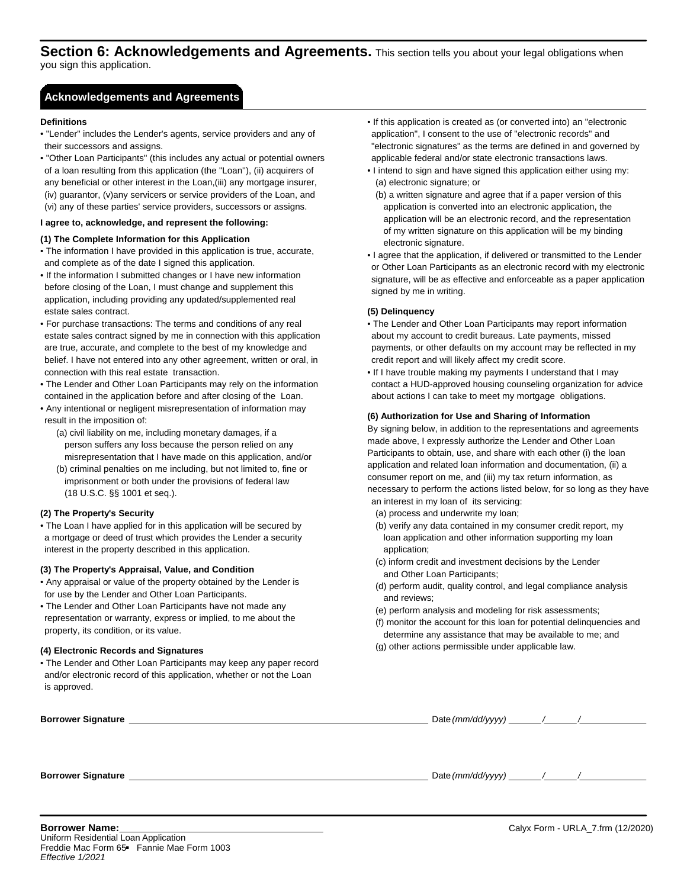# **Section 6: Acknowledgements and Agreements.** This section tells you about your legal obligations when

you sign this application.

### **Acknowledgements and Agreements**

### **Definitions**

- "Lender" includes the Lender's agents, service providers and any of their successors and assigns.
- "Other Loan Participants" (this includes any actual or potential owners of a loan resulting from this application (the "Loan''), (ii) acquirers of any beneficial or other interest in the Loan,(iii) any mortgage insurer, (iv) guarantor, (v)any servicers or service providers of the Loan, and (vi) any of these parties' service providers, successors or assigns.

### **I agree to, acknowledge, and represent the following:**

### **(1) The Complete Information for this Application**

- The information I have provided in this application is true, accurate, and complete as of the date I signed this application.
- If the information I submitted changes or I have new information before closing of the Loan, I must change and supplement this application, including providing any updated/supplemented real estate sales contract.
- For purchase transactions: The terms and conditions of any real estate sales contract signed by me in connection with this application are true, accurate, and complete to the best of my knowledge and belief. I have not entered into any other agreement, written or oral, in connection with this real estate transaction.
- The Lender and Other Loan Participants may rely on the information contained in the application before and after closing of the Loan.
- Any intentional or negligent misrepresentation of information may result in the imposition of:
	- (a) civil liability on me, including monetary damages, if a person suffers any loss because the person relied on any misrepresentation that I have made on this application, and/or
	- (b) criminal penalties on me including, but not limited to, fine or imprisonment or both under the provisions of federal law (18 U.S.C. §§ 1001 et seq.).

### **(2) The Property's Security**

• The Loan I have applied for in this application will be secured by a mortgage or deed of trust which provides the Lender a security interest in the property described in this application.

### **(3) The Property's Appraisal, Value, and Condition**

- Any appraisal or value of the property obtained by the Lender is for use by the Lender and Other Loan Participants.
- The Lender and Other Loan Participants have not made any representation or warranty, express or implied, to me about the property, its condition, or its value.

### **(4) Electronic Records and Signatures**

• The Lender and Other Loan Participants may keep any paper record and/or electronic record of this application, whether or not the Loan is approved.

- If this application is created as (or converted into) an "electronic application", I consent to the use of "electronic records" and "electronic signatures" as the terms are defined in and governed by applicable federal and/or state electronic transactions laws.
- I intend to sign and have signed this application either using my: (a) electronic signature; or
- (b) a written signature and agree that if a paper version of this application is converted into an electronic application, the application will be an electronic record, and the representation of my written signature on this application will be my binding electronic signature.
- I agree that the application, if delivered or transmitted to the Lender or Other Loan Participants as an electronic record with my electronic signature, will be as effective and enforceable as a paper application signed by me in writing.

### **(5) Delinquency**

- The Lender and Other Loan Participants may report information about my account to credit bureaus. Late payments, missed payments, or other defaults on my account may be reflected in my credit report and will likely affect my credit score.
- If I have trouble making my payments I understand that I may contact a HUD-approved housing counseling organization for advice about actions I can take to meet my mortgage obligations.

### **(6) Authorization for Use and Sharing of Information**

By signing below, in addition to the representations and agreements made above, I expressly authorize the Lender and Other Loan Participants to obtain, use, and share with each other (i) the loan application and related loan information and documentation, (ii) a consumer report on me, and (iii) my tax return information, as necessary to perform the actions listed below, for so long as they have an interest in my loan of its servicing:

- (a) process and underwrite my loan;
- (b) verify any data contained in my consumer credit report, my loan application and other information supporting my loan application;
- (c) inform credit and investment decisions by the Lender and Other Loan Participants;
- (d) perform audit, quality control, and legal compliance analysis and reviews;
- (e) perform analysis and modeling for risk assessments;
- (f) monitor the account for this loan for potential delinquencies and determine any assistance that may be available to me; and
- (g) other actions permissible under applicable law.

| <b>Borrower Signature</b> | Date (mm/dd/yyyy) |  |
|---------------------------|-------------------|--|
| <b>Borrower Signature</b> | Date (mm/dd/yyyy) |  |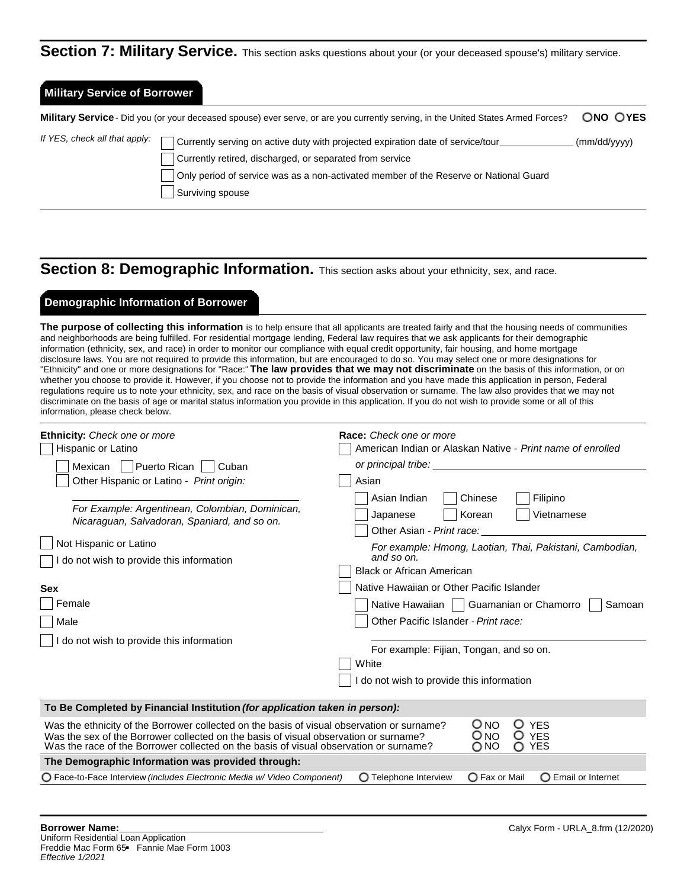## **Section 7: Military Service.** This section asks questions about your (or your deceased spouse's) military service.

| <b>Military Service of Borrower</b> |                                                                                                                                                                                                                                                           |                 |
|-------------------------------------|-----------------------------------------------------------------------------------------------------------------------------------------------------------------------------------------------------------------------------------------------------------|-----------------|
|                                     | <b>Military Service</b> - Did you (or your deceased spouse) ever serve, or are you currently serving, in the United States Armed Forces?                                                                                                                  | <b>ONO OYES</b> |
| If YES, check all that apply:       | Currently serving on active duty with projected expiration date of service/tour_<br>Currently retired, discharged, or separated from service<br>Only period of service was as a non-activated member of the Reserve or National Guard<br>Surviving spouse | (mm/dd/yyyy)    |

# **Section 8: Demographic Information.** This section asks about your ethnicity, sex, and race.

### **Demographic Information of Borrower**

**The purpose of collecting this information** is to help ensure that all applicants are treated fairly and that the housing needs of communities and neighborhoods are being fulfilled. For residential mortgage lending, Federal law requires that we ask applicants for their demographic information (ethnicity, sex, and race) in order to monitor our compliance with equal credit opportunity, fair housing, and home mortgage disclosure laws. You are not required to provide this information, but are encouraged to do so. You may select one or more designations for "Ethnicity" and one or more designations for "Race:" **The law provides that we may not discriminate** on the basis of this information, or on whether you choose to provide it. However, if you choose not to provide the information and you have made this application in person, Federal regulations require us to note your ethnicity, sex, and race on the basis of visual observation or surname. The law also provides that we may not discriminate on the basis of age or marital status information you provide in this application. If you do not wish to provide some or all of this information, please check below.

| Ethnicity: Check one or more                                                                                                                                                                                                                                                | Race: Check one or more                                                                              |
|-----------------------------------------------------------------------------------------------------------------------------------------------------------------------------------------------------------------------------------------------------------------------------|------------------------------------------------------------------------------------------------------|
| Hispanic or Latino                                                                                                                                                                                                                                                          | American Indian or Alaskan Native - Print name of enrolled                                           |
| Puerto Rican<br>Mexican<br>Cuban                                                                                                                                                                                                                                            | or principal tribe:                                                                                  |
| Other Hispanic or Latino - Print origin:                                                                                                                                                                                                                                    | Asian                                                                                                |
| For Example: Argentinean, Colombian, Dominican,<br>Nicaraguan, Salvadoran, Spaniard, and so on.                                                                                                                                                                             | Filipino<br>Asian Indian<br>Chinese<br>Korean<br>Vietnamese<br>Japanese<br>Other Asian - Print race: |
| Not Hispanic or Latino                                                                                                                                                                                                                                                      | For example: Hmong, Laotian, Thai, Pakistani, Cambodian,                                             |
| do not wish to provide this information                                                                                                                                                                                                                                     | and so on.<br><b>Black or African American</b>                                                       |
| <b>Sex</b>                                                                                                                                                                                                                                                                  | Native Hawaiian or Other Pacific Islander                                                            |
| Female                                                                                                                                                                                                                                                                      | Native Hawaiian   Guamanian or Chamorro<br>Samoan                                                    |
| Male                                                                                                                                                                                                                                                                        | Other Pacific Islander - Print race:                                                                 |
| I do not wish to provide this information                                                                                                                                                                                                                                   | For example: Fijian, Tongan, and so on.<br>White<br>I do not wish to provide this information        |
|                                                                                                                                                                                                                                                                             |                                                                                                      |
| To Be Completed by Financial Institution (for application taken in person):                                                                                                                                                                                                 |                                                                                                      |
| Was the ethnicity of the Borrower collected on the basis of visual observation or surname?<br>Was the sex of the Borrower collected on the basis of visual observation or surname?<br>Was the race of the Borrower collected on the basis of visual observation or surname? | <b>YES</b><br>O NO<br>O<br>O NO<br>O<br><b>YES</b><br>O NO<br>YES<br>O                               |
| The Demographic Information was provided through:                                                                                                                                                                                                                           |                                                                                                      |
| O Face-to-Face Interview (includes Electronic Media w/ Video Component)                                                                                                                                                                                                     | O Fax or Mail<br><b>O</b> Email or Internet<br>O Telephone Interview                                 |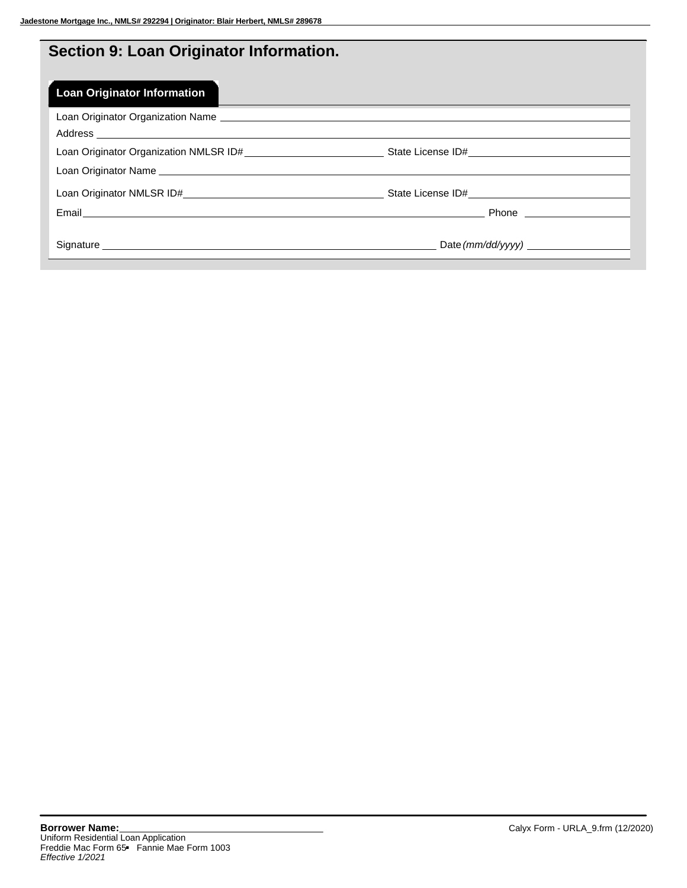# **Section 9: Loan Originator Information.**

| <u>saanan al maan anginatal internationi</u>                                                                                                                                                                                         |  |
|--------------------------------------------------------------------------------------------------------------------------------------------------------------------------------------------------------------------------------------|--|
| <b>Loan Originator Information</b>                                                                                                                                                                                                   |  |
| Loan Originator Organization Name League and Contract Communication of the Communication of the Communication                                                                                                                        |  |
| Address <b>contract to the contract of the contract of the contract of the contract of the contract of the contract of the contract of the contract of the contract of the contract of the contract of the contract of the contr</b> |  |
|                                                                                                                                                                                                                                      |  |
|                                                                                                                                                                                                                                      |  |
|                                                                                                                                                                                                                                      |  |
| Email <b>Example 2008</b> Phone 2008 Phone 2008 Phone 2008 Phone 2008 Phone 2008 Phone 2008 Phone 2008 Phone 2008 Phone 2008 Phone 2008 Phone 2008 Phone 2008 Phone 2008 Phone 2008 Phone 2008 Phone 2008 Phone 2008 Phone 2008 Pho  |  |
|                                                                                                                                                                                                                                      |  |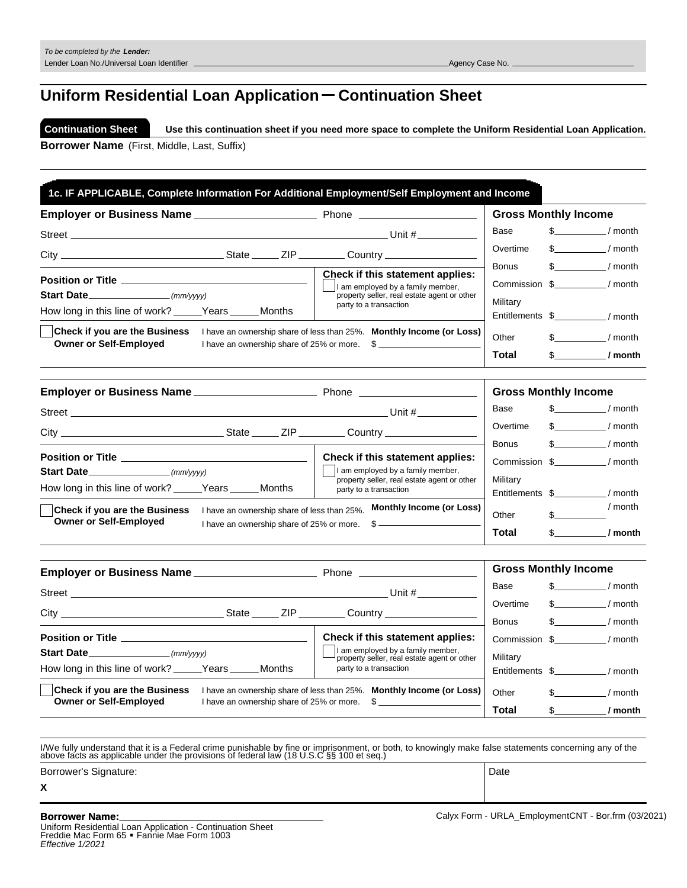# **Uniform Residential Loan Application Continuation Sheet**

**Continuation Sheet Use this continuation sheet if you need more space to complete the Uniform Residential Loan Application.**

**Borrower Name** (First, Middle, Last, Suffix)

### **1c. IF APPLICABLE, Complete Information For Additional Employment/Self Employment and Income**

| Employer or Business Name                                             | Phone _______________________                                                                                        | <b>Gross Monthly Income</b> |               |                  |
|-----------------------------------------------------------------------|----------------------------------------------------------------------------------------------------------------------|-----------------------------|---------------|------------------|
| Street_                                                               | Unit $#$                                                                                                             | Base                        | $\mathbb{S}$  | / month          |
|                                                                       |                                                                                                                      | Overtime                    | $\mathbb{S}$  | $/$ month        |
|                                                                       | Check if this statement applies:                                                                                     | <b>Bonus</b>                | $\mathbb{S}$  | / month          |
| Position or Title ___________________                                 | I am employed by a family member,<br>property seller, real estate agent or other                                     |                             | Commission \$ | $/$ month        |
| How long in this line of work? _____Years _____Months                 | party to a transaction                                                                                               | Military                    |               |                  |
| <b>Check if you are the Business</b><br><b>Owner or Self-Employed</b> | I have an ownership share of less than 25%. Monthly Income (or Loss)<br>I have an ownership share of 25% or more. \$ | Other<br><b>Total</b>       | $\mathcal{S}$ | month<br>/ month |

| Employer or Business Name                                                                                                                                                                                                                                                                                                                                                |                                             | Phone <b>All According to the Contract of According to the Contract of According to According the Contract of According to According the Contract of According to According the Contract of According to According the Contract </b> | <b>Gross Monthly Income</b> |                                  |                      |
|--------------------------------------------------------------------------------------------------------------------------------------------------------------------------------------------------------------------------------------------------------------------------------------------------------------------------------------------------------------------------|---------------------------------------------|--------------------------------------------------------------------------------------------------------------------------------------------------------------------------------------------------------------------------------------|-----------------------------|----------------------------------|----------------------|
| Street ___________                                                                                                                                                                                                                                                                                                                                                       |                                             | Unit #                                                                                                                                                                                                                               | Base                        | $\mathbb{S}$                     | $/$ month            |
|                                                                                                                                                                                                                                                                                                                                                                          |                                             |                                                                                                                                                                                                                                      | Overtime                    | $\mathbb{S}$                     | / month              |
|                                                                                                                                                                                                                                                                                                                                                                          |                                             |                                                                                                                                                                                                                                      | <b>Bonus</b>                | $\mathbb{S}$                     | / month              |
| <b>Position or Title Department of Second Second Second Second Second Second Second Second Second Second Second Second Second Second Second Second Second Second Second Second Second Second Second Second Second Second Second </b><br>Start Date $\frac{1}{\text{max}(m m \cdot \text{y} \cdot \text{y})}$<br>How long in this line of work? ______Years ______ Months |                                             | Check if this statement applies:<br>I am employed by a family member,<br>property seller, real estate agent or other<br>party to a transaction                                                                                       | Military                    | Commission \$<br>Entitlements \$ | $/$ month<br>/ month |
| Check if you are the Business<br>Owner or Self-Employed                                                                                                                                                                                                                                                                                                                  | I have an ownership share of less than 25%. | Monthly Income (or Loss)<br>I have an ownership share of 25% or more. \$                                                                                                                                                             | Other<br><b>Total</b>       | $\mathcal{S}$                    | / month<br>/ month   |

|                                                                       |                                                                                                                      |                       | <b>Gross Monthly Income</b>  |                      |
|-----------------------------------------------------------------------|----------------------------------------------------------------------------------------------------------------------|-----------------------|------------------------------|----------------------|
|                                                                       | Unit $#$                                                                                                             | Base                  | \$ / month                   |                      |
|                                                                       |                                                                                                                      | Overtime              | $\frac{1}{2}$ / month        |                      |
|                                                                       |                                                                                                                      | <b>Bonus</b>          | $\mathbb{S}$                 | $/$ month            |
|                                                                       | Check if this statement applies:                                                                                     |                       | Commission \$ / month        |                      |
|                                                                       | I am employed by a family member,<br>property seller, real estate agent or other                                     | Military              |                              |                      |
| How long in this line of work? ______Years ______Months               | party to a transaction                                                                                               |                       | Entitlements \$ / month      |                      |
| <b>Check if you are the Business</b><br><b>Owner or Self-Employed</b> | I have an ownership share of less than 25%. Monthly Income (or Loss)<br>I have an ownership share of 25% or more. \$ | Other<br><b>Total</b> | $\mathbb{S}$<br>$\mathbb{S}$ | $/$ month<br>/ month |

I/We fully understand that it is a Federal crime punishable by fine or imprisonment, or both, to knowingly make false statements concerning any of the<br>above facts as applicable under the provisions of federal law (18 U.S.C

Borrower's Signature: Notice and the set of the set of the set of the set of the set of the set of the set of the set of the set of the set of the set of the set of the set of the set of the set of the set of the set of th

- **X**
- **Borrower Name:**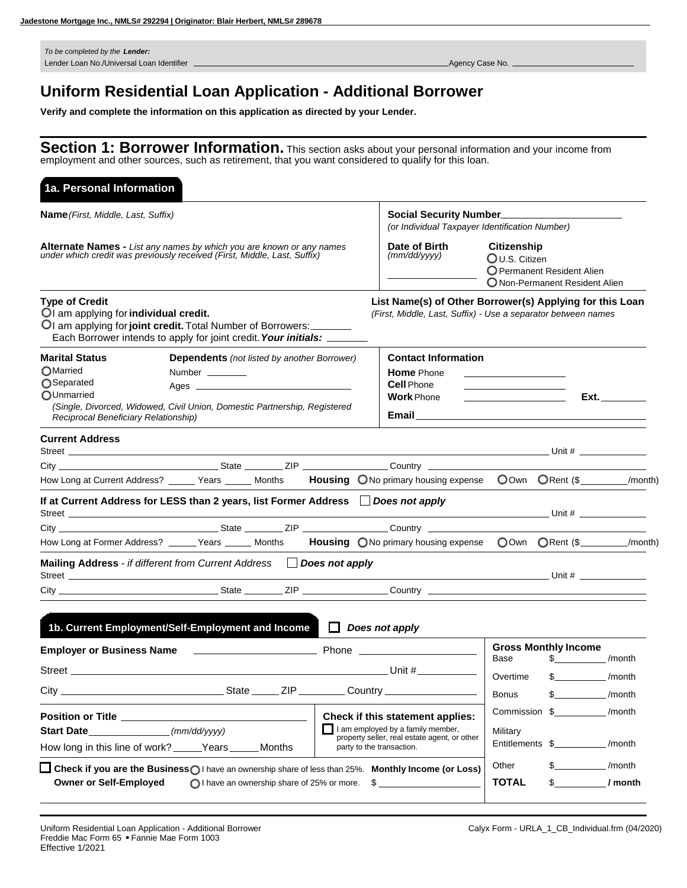| To be completed by the Lender:             |
|--------------------------------------------|
| Lender Loan No /Llniversal Loan Identifier |

**#ADV**

Agency Case No.

# **Uniform Residential Loan Application - Additional Borrower**

**Verify and complete the information on this application as directed by your Lender.**

**Section 1: Borrower Information.** This section asks about your personal information and your income from employment and other sources, such as retirement, that you want considered to qualify for this loan.

| 1a. Personal Information                                                                                              |                                                                                                                                                   |                       |                                                                                                                                                                                                                                      |                                                                                                                                                                            |                                                              |        |
|-----------------------------------------------------------------------------------------------------------------------|---------------------------------------------------------------------------------------------------------------------------------------------------|-----------------------|--------------------------------------------------------------------------------------------------------------------------------------------------------------------------------------------------------------------------------------|----------------------------------------------------------------------------------------------------------------------------------------------------------------------------|--------------------------------------------------------------|--------|
| Social Security Number<br><b>Name</b> (First, Middle, Last, Suffix)<br>(or Individual Taxpayer Identification Number) |                                                                                                                                                   |                       |                                                                                                                                                                                                                                      |                                                                                                                                                                            |                                                              |        |
|                                                                                                                       | Alternate Names - List any names by which you are known or any names under which credit was previously received (First, Middle, Last, Suffix)     |                       | Date of Birth<br>(mm/dd/yyyy)                                                                                                                                                                                                        | <b>Citizenship</b><br>OU.S. Citizen                                                                                                                                        | O Permanent Resident Alien<br>O Non-Permanent Resident Alien |        |
| <b>Type of Credit</b><br>OI am applying for individual credit.                                                        | OI am applying for joint credit. Total Number of Borrowers:<br>Each Borrower intends to apply for joint credit. Your initials:                    |                       | List Name(s) of Other Borrower(s) Applying for this Loan<br>(First, Middle, Last, Suffix) - Use a separator between names                                                                                                            |                                                                                                                                                                            |                                                              |        |
| <b>Marital Status</b><br>○Married<br>○Separated<br>OUnmarried<br><b>Reciprocal Beneficiary Relationship)</b>          | <b>Dependents</b> (not listed by another Borrower)<br>Number _______<br>(Single, Divorced, Widowed, Civil Union, Domestic Partnership, Registered |                       | <b>Contact Information</b><br><b>Home</b> Phone<br><b>Cell</b> Phone<br><b>Work</b> Phone                                                                                                                                            | the control of the control of the control of the<br><u> Albany a Company and State and State and State and State and State and State and State and State and State and</u> |                                                              | Ext.   |
| <b>Current Address</b>                                                                                                |                                                                                                                                                   |                       |                                                                                                                                                                                                                                      |                                                                                                                                                                            |                                                              |        |
|                                                                                                                       |                                                                                                                                                   |                       |                                                                                                                                                                                                                                      |                                                                                                                                                                            |                                                              |        |
|                                                                                                                       | How Long at Current Address? _____ Years _____ Months <b>Housing ONo primary housing expense</b> OOwn ORent (\$________/month)                    |                       |                                                                                                                                                                                                                                      |                                                                                                                                                                            |                                                              |        |
|                                                                                                                       | If at Current Address for LESS than 2 years, list Former Address Does not apply                                                                   |                       |                                                                                                                                                                                                                                      |                                                                                                                                                                            |                                                              |        |
|                                                                                                                       |                                                                                                                                                   |                       |                                                                                                                                                                                                                                      |                                                                                                                                                                            |                                                              |        |
|                                                                                                                       | How Long at Former Address? ______ Years ______ Months                                                                                            |                       | Housing ONo primary housing expense OOwn ORent (\$________/month)                                                                                                                                                                    |                                                                                                                                                                            |                                                              |        |
|                                                                                                                       | Mailing Address - if different from Current Address   Does not apply                                                                              |                       | <u>Design to the contract of the contract of the contract of the contract of the contract of the contract of the contract of the contract of the contract of the contract of the contract of the contract of the contract of the</u> |                                                                                                                                                                            |                                                              |        |
|                                                                                                                       |                                                                                                                                                   |                       |                                                                                                                                                                                                                                      |                                                                                                                                                                            |                                                              |        |
|                                                                                                                       | 1b. Current Employment/Self-Employment and Income                                                                                                 | $\Box$ Does not apply |                                                                                                                                                                                                                                      |                                                                                                                                                                            |                                                              |        |
|                                                                                                                       |                                                                                                                                                   |                       |                                                                                                                                                                                                                                      | Base                                                                                                                                                                       | <b>Gross Monthly Income</b><br>$$$ /month                    |        |
|                                                                                                                       |                                                                                                                                                   |                       |                                                                                                                                                                                                                                      | Overtime                                                                                                                                                                   |                                                              | /month |
|                                                                                                                       |                                                                                                                                                   |                       |                                                                                                                                                                                                                                      | Bonus                                                                                                                                                                      | $\frac{1}{2}$<br>$\frac{1}{2}$ /month                        |        |
|                                                                                                                       |                                                                                                                                                   |                       |                                                                                                                                                                                                                                      |                                                                                                                                                                            | Commission \$____________/month                              |        |
| <b>Start Date</b>                                                                                                     | <b>Position or Title Example 2018</b><br>(mm/dd/yyyy)<br>How long in this line of work? ______Years ______ Months                                 |                       | Check if this statement applies:<br>I am employed by a family member,<br>property seller, real estate agent, or other<br>party to the transaction.                                                                                   | Military                                                                                                                                                                   | Entitlements \$                                              | /month |
|                                                                                                                       | □ Check if you are the Business $\bigcirc$ I have an ownership share of less than 25%. Monthly Income (or Loss)                                   |                       |                                                                                                                                                                                                                                      | Other                                                                                                                                                                      | $\mathbb{S}$                                                 | /month |
| <b>Owner or Self-Employed</b>                                                                                         | ◯ I have an ownership share of 25% or more. \$                                                                                                    |                       |                                                                                                                                                                                                                                      | <b>TOTAL</b>                                                                                                                                                               | $\frac{1}{2}$ / month                                        |        |
|                                                                                                                       |                                                                                                                                                   |                       |                                                                                                                                                                                                                                      |                                                                                                                                                                            |                                                              |        |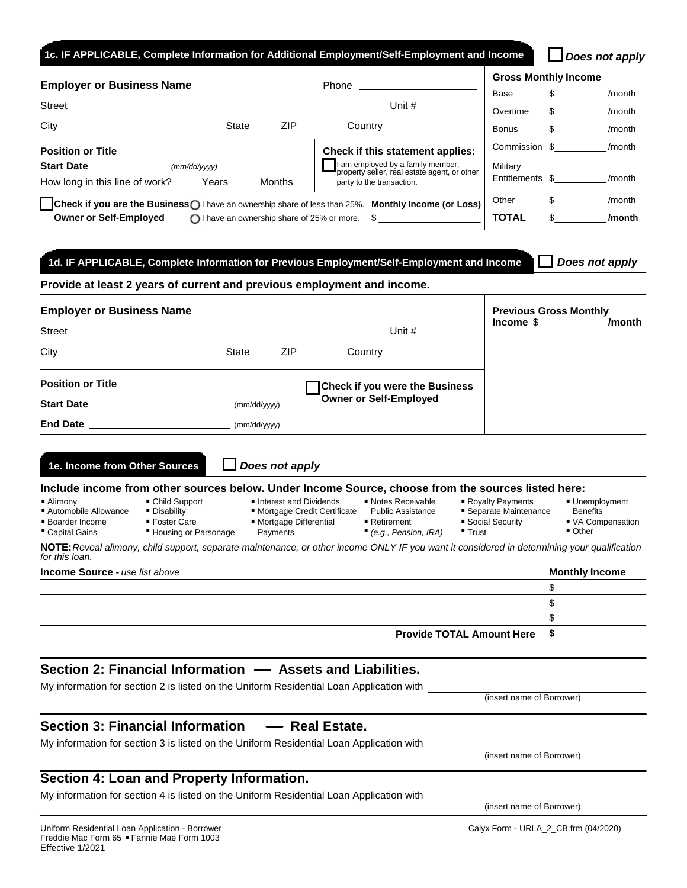### **1c. IF APPLICABLE, Complete Information for Additional Employment/Self-Employment and Income** *Does not apply*

|                                                                                                     |                                                                                   |              | <b>Gross Monthly Income</b> |        |
|-----------------------------------------------------------------------------------------------------|-----------------------------------------------------------------------------------|--------------|-----------------------------|--------|
|                                                                                                     |                                                                                   | Base         | $\mathbb{S}$                | /month |
| Street                                                                                              | Unit $#$                                                                          | Overtime     | $\mathbb{S}$                | /month |
| City Country Country Country Country                                                                |                                                                                   | <b>Bonus</b> | $\mathbb{S}$                | /month |
|                                                                                                     | Check if this statement applies:                                                  |              | Commission \$               | /month |
|                                                                                                     | I am employed by a family member,<br>property seller, real estate agent, or other | Military     |                             |        |
| How long in this line of work? _____Years _____Months                                               | party to the transaction.                                                         |              | Entitlements \$             | /month |
| Check if you are the Business∩ I have an ownership share of less than 25%. Monthly Income (or Loss) |                                                                                   | Other        |                             | /month |
| <b>Owner or Self-Employed</b>                                                                       | ◯ I have an ownership share of 25% or more. \$                                    | <b>TOTAL</b> | $\mathbb{R}$                | /month |

**1d. IF APPLICABLE, Complete Information for Previous Employment/Self-Employment and Income** *Does not apply*

|                         | <b>Previous Gross Monthly</b>         |                      |
|-------------------------|---------------------------------------|----------------------|
|                         | Street Unit # Unit #                  | $Income \$ __/month$ |
|                         |                                       |                      |
|                         | <b>Check if you were the Business</b> |                      |
| Start Date (mm/dd/yyyy) | Owner or Self-Employed                |                      |
|                         |                                       |                      |

| Include income from other sources below. Under Income Source, choose from the sources listed here: |                                                                            |                                                                                                                                             |                                                                                          |                                                                                           |                                                                   |
|----------------------------------------------------------------------------------------------------|----------------------------------------------------------------------------|---------------------------------------------------------------------------------------------------------------------------------------------|------------------------------------------------------------------------------------------|-------------------------------------------------------------------------------------------|-------------------------------------------------------------------|
| $\blacksquare$ Alimony<br>Automobile Allowance<br>■ Boarder Income<br>■ Capital Gains              | ■ Child Support<br>■ Disability<br>■ Foster Care<br>■ Housing or Parsonage | Interest and Dividends<br>■ Mortgage Credit Certificate<br>■ Mortgage Differential<br>Payments                                              | ■ Notes Receivable<br><b>Public Assistance</b><br>■ Retirement<br>$(e.g.,$ Pension, IRA) | ■ Royalty Payments<br>■ Separate Maintenance<br>■ Social Security<br>$\blacksquare$ Trust | ■ Unemployment<br><b>Benefits</b><br>■ VA Compensation<br>■ Other |
| for this loan.                                                                                     |                                                                            | NOTE: Reveal alimony, child support, separate maintenance, or other income ONLY IF you want it considered in determining your qualification |                                                                                          |                                                                                           |                                                                   |

| <b>Income Source - use list above</b> | <b>Monthly Income</b> |
|---------------------------------------|-----------------------|
|                                       |                       |
|                                       |                       |
|                                       |                       |
| <b>Provide TOTAL Amount Here   \$</b> |                       |

# **Section 2: Financial Information**  $-$  **Assets and Liabilities.**

My information for section 2 is listed on the Uniform Residential Loan Application with

## **Section 3: Financial Information – Real Estate.**

My information for section 3 is listed on the Uniform Residential Loan Application with

### **Section 4: Loan and Property Information.**

My information for section 4 is listed on the Uniform Residential Loan Application with

(insert name of Borrower)

(insert name of Borrower)

(insert name of Borrower)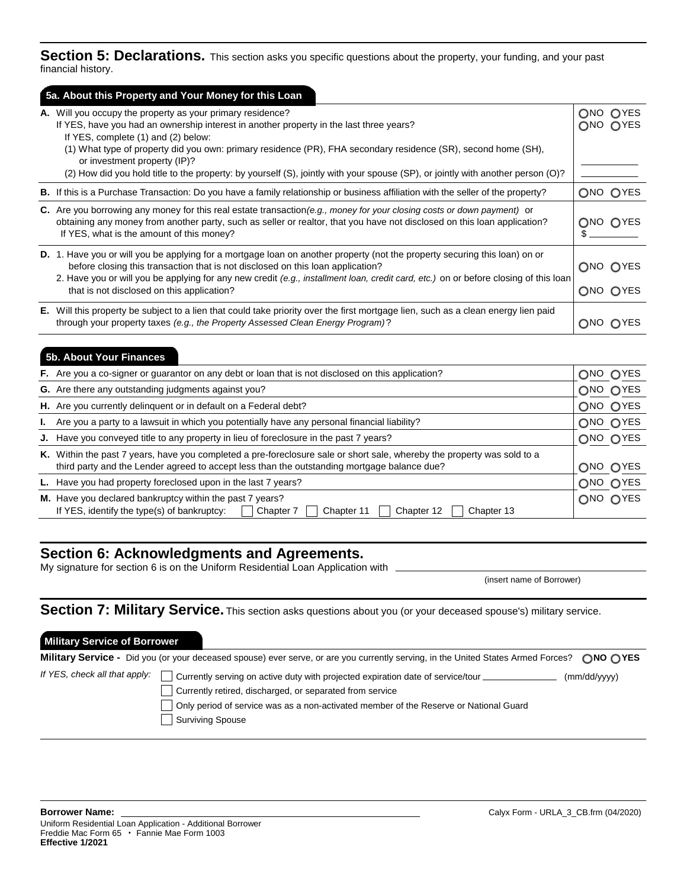**Section 5: Declarations.** This section asks you specific questions about the property, your funding, and your past financial history.

| 5a. About this Property and Your Money for this Loan                                                                                                                                                                                                                                                                                                                                                       |     |                  |
|------------------------------------------------------------------------------------------------------------------------------------------------------------------------------------------------------------------------------------------------------------------------------------------------------------------------------------------------------------------------------------------------------------|-----|------------------|
| A. Will you occupy the property as your primary residence?<br>If YES, have you had an ownership interest in another property in the last three years?<br>If YES, complete (1) and (2) below:<br>(1) What type of property did you own: primary residence (PR), FHA secondary residence (SR), second home (SH),                                                                                             | ONO | OYES<br>∩YES     |
| or investment property (IP)?<br>(2) How did you hold title to the property: by yourself (S), jointly with your spouse (SP), or jointly with another person (O)?                                                                                                                                                                                                                                            |     |                  |
| B. If this is a Purchase Transaction: Do you have a family relationship or business affiliation with the seller of the property?                                                                                                                                                                                                                                                                           | ONO | OYES             |
| C. Are you borrowing any money for this real estate transaction (e.g., money for your closing costs or down payment) or<br>obtaining any money from another party, such as seller or realtor, that you have not disclosed on this loan application?<br>If YES, what is the amount of this money?                                                                                                           |     | ONO OYES         |
| <b>D.</b> 1. Have you or will you be applying for a mortgage loan on another property (not the property securing this loan) on or<br>before closing this transaction that is not disclosed on this loan application?<br>2. Have you or will you be applying for any new credit (e.g., installment loan, credit card, etc.) on or before closing of this loan<br>that is not disclosed on this application? | ONO | ONO OYES<br>OYES |
| <b>E.</b> Will this property be subject to a lien that could take priority over the first mortgage lien, such as a clean energy lien paid<br>through your property taxes (e.g., the Property Assessed Clean Energy Program)?                                                                                                                                                                               |     |                  |

### **5b. About Your Finances**

| F. Are you a co-signer or guarantor on any debt or loan that is not disclosed on this application?                                                                                                                     | ONO OYES |
|------------------------------------------------------------------------------------------------------------------------------------------------------------------------------------------------------------------------|----------|
| <b>G.</b> Are there any outstanding judgments against you?                                                                                                                                                             | ONO OYES |
| H. Are you currently delinguent or in default on a Federal debt?                                                                                                                                                       | ONO OYES |
| I. Are you a party to a lawsuit in which you potentially have any personal financial liability?                                                                                                                        | ONO OYES |
| J. Have you conveyed title to any property in lieu of foreclosure in the past 7 years?                                                                                                                                 | ONO OYES |
| K. Within the past 7 years, have you completed a pre-foreclosure sale or short sale, whereby the property was sold to a<br>third party and the Lender agreed to accept less than the outstanding mortgage balance due? | ONO OYES |
| L. Have you had property foreclosed upon in the last 7 years?                                                                                                                                                          | ONO OYES |
| M. Have you declared bankruptcy within the past 7 years?<br>If YES, identify the type(s) of bankruptcy:<br>Chapter 7<br>Chapter 12<br>Chapter 13<br>Chapter 11                                                         | ONO OYES |

## **Section 6: Acknowledgments and Agreements.**

My signature for section 6 is on the Uniform Residential Loan Application with

(insert name of Borrower)

## **Section 7: Military Service.** This section asks questions about you (or your deceased spouse's) military service.

| Military Service of Borrower  |                                                                                                                                                                                                                                                                   |              |
|-------------------------------|-------------------------------------------------------------------------------------------------------------------------------------------------------------------------------------------------------------------------------------------------------------------|--------------|
|                               | Military Service - Did you (or your deceased spouse) ever serve, or are you currently serving, in the United States Armed Forces? ONO OYES                                                                                                                        |              |
| If YES, check all that apply: | Currently serving on active duty with projected expiration date of service/tour ________<br>Currently retired, discharged, or separated from service<br>Only period of service was as a non-activated member of the Reserve or National Guard<br>Surviving Spouse | (mm/dd/vvvv) |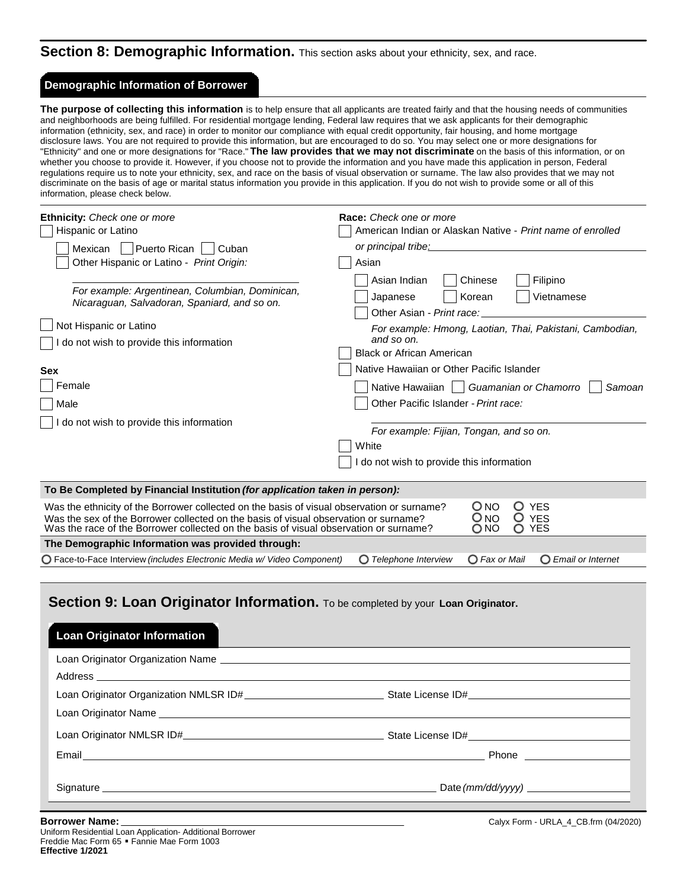### **Section 8: Demographic Information.** This section asks about your ethnicity, sex, and race.

### **Demographic Information of Borrower**

**The purpose of collecting this information** is to help ensure that all applicants are treated fairly and that the housing needs of communities and neighborhoods are being fulfilled. For residential mortgage lending, Federal law requires that we ask applicants for their demographic information (ethnicity, sex, and race) in order to monitor our compliance with equal credit opportunity, fair housing, and home mortgage disclosure laws. You are not required to provide this information, but are encouraged to do so. You may select one or more designations for "Ethnicity" and one or more designations for "Race." **The law provides that we may not discriminate** on the basis of this information, or on whether you choose to provide it. However, if you choose not to provide the information and you have made this application in person, Federal regulations require us to note your ethnicity, sex, and race on the basis of visual observation or surname. The law also provides that we may not discriminate on the basis of age or marital status information you provide in this application. If you do not wish to provide some or all of this information, please check below.

| <b>Ethnicity:</b> Check one or more                                                                                                                                                                                                                                         | Race: Check one or more                                                                     |
|-----------------------------------------------------------------------------------------------------------------------------------------------------------------------------------------------------------------------------------------------------------------------------|---------------------------------------------------------------------------------------------|
| Hispanic or Latino                                                                                                                                                                                                                                                          | American Indian or Alaskan Native - Print name of enrolled                                  |
| Puerto Rican<br>Mexican<br>Cuban<br>Other Hispanic or Latino - Print Origin:                                                                                                                                                                                                | or principal tribe:<br>Asian<br>Asian Indian<br>Chinese<br>Filipino                         |
| For example: Argentinean, Columbian, Dominican,<br>Nicaraguan, Salvadoran, Spaniard, and so on.                                                                                                                                                                             | Vietnamese<br>Japanese<br>Korean<br>Other Asian - Print race:                               |
| Not Hispanic or Latino                                                                                                                                                                                                                                                      | For example: Hmong, Laotian, Thai, Pakistani, Cambodian,                                    |
| do not wish to provide this information                                                                                                                                                                                                                                     | and so on.<br><b>Black or African American</b>                                              |
| <b>Sex</b>                                                                                                                                                                                                                                                                  | Native Hawaiian or Other Pacific Islander                                                   |
| Female                                                                                                                                                                                                                                                                      | Guamanian or Chamorro<br>Native Hawaiian  <br>Samoan                                        |
| Male                                                                                                                                                                                                                                                                        | Other Pacific Islander - Print race:                                                        |
| do not wish to provide this information                                                                                                                                                                                                                                     | For example: Fijian, Tongan, and so on.<br>White<br>do not wish to provide this information |
| To Be Completed by Financial Institution (for application taken in person):                                                                                                                                                                                                 |                                                                                             |
| Was the ethnicity of the Borrower collected on the basis of visual observation or surname?<br>Was the sex of the Borrower collected on the basis of visual observation or surname?<br>Was the race of the Borrower collected on the basis of visual observation or surname? | O NO<br><b>YES</b><br>O<br><b>YES</b><br>O NO<br>Ő<br><b>YES</b><br>O NO<br>∩               |
| The Demographic Information was provided through:                                                                                                                                                                                                                           |                                                                                             |
| ○ Face-to-Face Interview (includes Electronic Media w/ Video Component)                                                                                                                                                                                                     | O Fax or Mail<br><b>O</b> Email or Internet<br><b>O</b> Telephone Interview                 |
|                                                                                                                                                                                                                                                                             |                                                                                             |

# **Section 9: Loan Originator Information.** To be completed by your **Loan Originator.**

| <b>Loan Originator Information</b> |                                                                                                                |
|------------------------------------|----------------------------------------------------------------------------------------------------------------|
|                                    |                                                                                                                |
|                                    |                                                                                                                |
|                                    | Loan Originator Organization NMLSR ID# ______________________________State License ID# _______________________ |
|                                    |                                                                                                                |
|                                    |                                                                                                                |
|                                    |                                                                                                                |
|                                    |                                                                                                                |
|                                    |                                                                                                                |
|                                    |                                                                                                                |

#### **Borrower Name:**

Calyx Form - URLA\_4\_CB.frm (04/2020)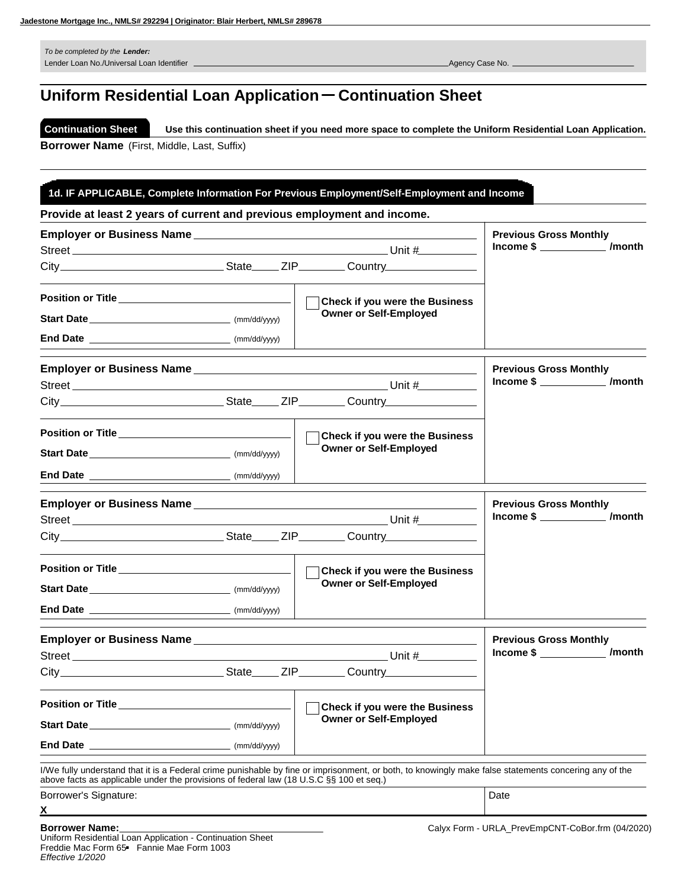*To be completed by the Lender:* Lender Loan No./Universal Loan Identifier **Agency Case No.** Agency Case No.

# **Uniform Residential Loan Application Continuation Sheet**

**Continuation Sheet Use this continuation sheet if you need more space to complete the Uniform Residential Loan Application. Borrower Name** (First, Middle, Last, Suffix)

#### **1d. IF APPLICABLE, Complete Information For Previous Employment/Self-Employment and Income**

**Provide at least 2 years of current and previous employment and income.**

|                                                                                                                                                                                                                                                  | <b>Previous Gross Monthly</b>         |                                                    |
|--------------------------------------------------------------------------------------------------------------------------------------------------------------------------------------------------------------------------------------------------|---------------------------------------|----------------------------------------------------|
|                                                                                                                                                                                                                                                  | $Income $$ $\sim$ /month              |                                                    |
| City___________________________________State______ZIP___________Country________________                                                                                                                                                          |                                       |                                                    |
|                                                                                                                                                                                                                                                  | Check if you were the Business        |                                                    |
|                                                                                                                                                                                                                                                  | <b>Owner or Self-Employed</b>         |                                                    |
|                                                                                                                                                                                                                                                  |                                       |                                                    |
|                                                                                                                                                                                                                                                  |                                       | <b>Previous Gross Monthly</b>                      |
|                                                                                                                                                                                                                                                  |                                       | $Income $$ /month                                  |
|                                                                                                                                                                                                                                                  |                                       |                                                    |
| Position or Title ________________________________                                                                                                                                                                                               | Check if you were the Business        |                                                    |
|                                                                                                                                                                                                                                                  | <b>Owner or Self-Employed</b>         |                                                    |
|                                                                                                                                                                                                                                                  |                                       |                                                    |
|                                                                                                                                                                                                                                                  |                                       | <b>Previous Gross Monthly</b><br>$Income $$ /month |
|                                                                                                                                                                                                                                                  |                                       |                                                    |
| City___________________________________State______ZIP___________Country_______________                                                                                                                                                           |                                       |                                                    |
|                                                                                                                                                                                                                                                  | <b>Check if you were the Business</b> |                                                    |
|                                                                                                                                                                                                                                                  | <b>Owner or Self-Employed</b>         |                                                    |
|                                                                                                                                                                                                                                                  |                                       |                                                    |
|                                                                                                                                                                                                                                                  |                                       | <b>Previous Gross Monthly</b>                      |
|                                                                                                                                                                                                                                                  |                                       | Income $\frac{1}{2}$ /month                        |
|                                                                                                                                                                                                                                                  |                                       |                                                    |
|                                                                                                                                                                                                                                                  | <b>Check if you were the Business</b> |                                                    |
| Start Date_<br>(mm/dd/yyyy)                                                                                                                                                                                                                      | <b>Owner or Self-Employed</b>         |                                                    |
| End Date <b>Example 20</b><br>(mm/dd/yyyy)                                                                                                                                                                                                       |                                       |                                                    |
| I/We fully understand that it is a Federal crime punishable by fine or imprisonment, or both, to knowingly make false statements concering any of the<br>above facts as applicable under the provisions of federal law (18 U.S.C §§ 100 et seq.) |                                       |                                                    |
| Borrower's Signature:                                                                                                                                                                                                                            |                                       | Date                                               |
| x                                                                                                                                                                                                                                                |                                       |                                                    |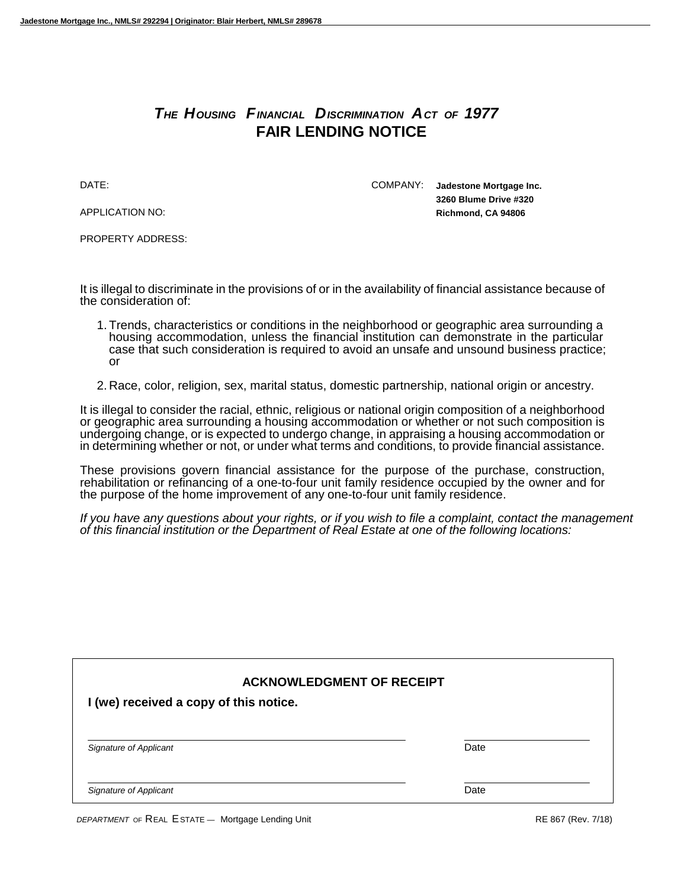# *T HE HOUSING FINANCIAL DISCRIMINATION ACT OF 1977* **FAIR LENDING NOTICE**

DATE:

APPLICATION NO:

PROPERTY ADDRESS:

COMPANY: **Jadestone Mortgage Inc. 3260 Blume Drive #320 Richmond, CA 94806**

It is illegal to discriminate in the provisions of or in the availability of financial assistance because of the consideration of:

- 1.Trends, characteristics or conditions in the neighborhood or geographic area surrounding a housing accommodation, unless the financial institution can demonstrate in the particular case that such consideration is required to avoid an unsafe and unsound business practice; or
- 2. Race, color, religion, sex, marital status, domestic partnership, national origin or ancestry.

It is illegal to consider the racial, ethnic, religious or national origin composition of a neighborhood or geographic area surrounding a housing accommodation or whether or not such composition is undergoing change, or is expected to undergo change, in appraising a housing accommodation or in determining whether or not, or under what terms and conditions, to provide financial assistance.

These provisions govern financial assistance for the purpose of the purchase, construction, rehabilitation or refinancing of a one-to-four unit family residence occupied by the owner and for the purpose of the home improvement of any one-to-four unit family residence.

*If you have any questions about your rights, or if you wish to file a complaint, contact the management of this financial institution or the Department of Real Estate at one of the following locations:* 

| <b>ACKNOWLEDGMENT OF RECEIPT</b><br>I (we) received a copy of this notice. |      |
|----------------------------------------------------------------------------|------|
| Signature of Applicant                                                     | Date |
| Signature of Applicant                                                     | Date |

*DEPARTMENT* OF REAL ESTATE — Mortgage Lending Unit **Realt Report Account Account RE 867 (Rev. 7/18)**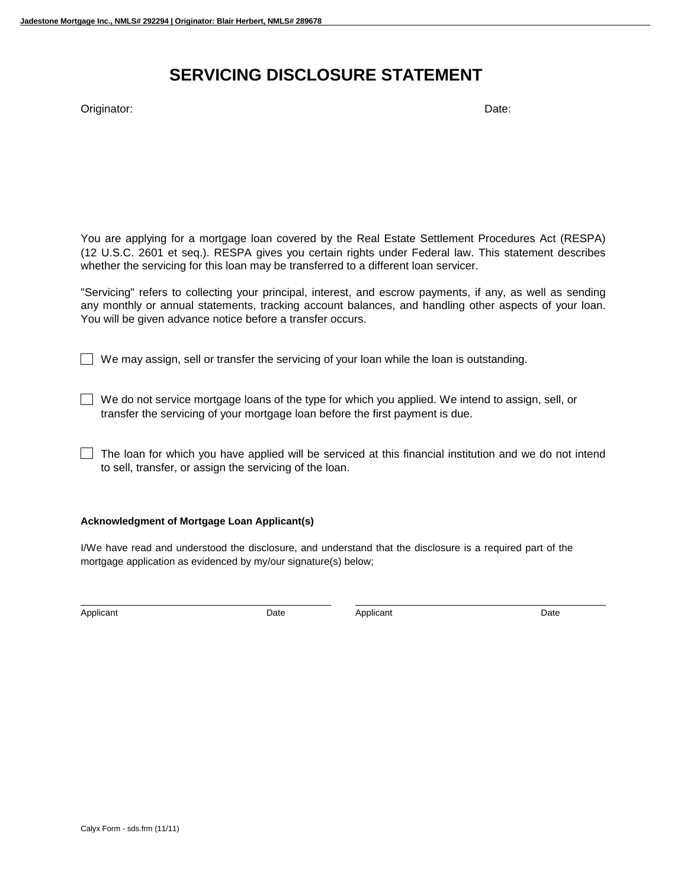# **SERVICING DISCLOSURE STATEMENT**

Originator: **Date:** Date: **Date:** Date: **Date: Date: Date: Date: Date: Date: Date: Date: Date: Date: Date: Date: Date: Date: Date: Date: Date: Date: Date: Date: Date: Date: Date:** 

You are applying for a mortgage loan covered by the Real Estate Settlement Procedures Act (RESPA) (12 U.S.C. 2601 et seq.). RESPA gives you certain rights under Federal law. This statement describes whether the servicing for this loan may be transferred to a different loan servicer.

"Servicing" refers to collecting your principal, interest, and escrow payments, if any, as well as sending any monthly or annual statements, tracking account balances, and handling other aspects of your loan. You will be given advance notice before a transfer occurs.

 $\Box$  We may assign, sell or transfer the servicing of your loan while the loan is outstanding.

 $\Box$  We do not service mortgage loans of the type for which you applied. We intend to assign, sell, or transfer the servicing of your mortgage loan before the first payment is due.

 $\Box$  The loan for which you have applied will be serviced at this financial institution and we do not intend to sell, transfer, or assign the servicing of the loan.

### **Acknowledgment of Mortgage Loan Applicant(s)**

I/We have read and understood the disclosure, and understand that the disclosure is a required part of the mortgage application as evidenced by my/our signature(s) below;

Applicant Date Applicant Date